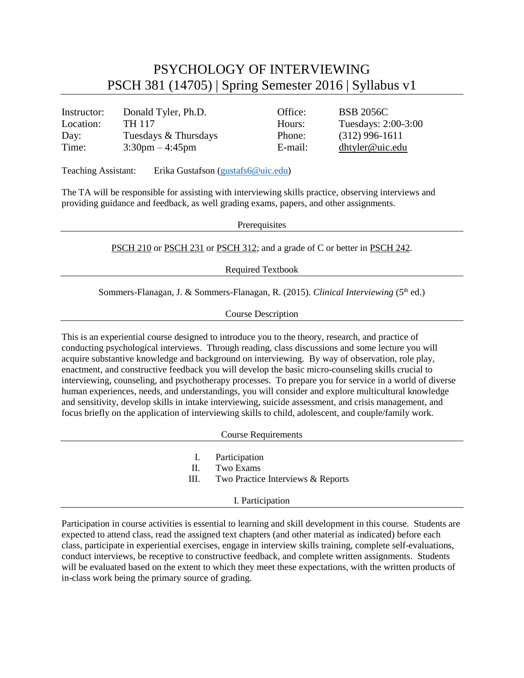## PSYCHOLOGY OF INTERVIEWING PSCH 381 (14705) | Spring Semester 2016 | Syllabus v1

| Instructor: | Donald Tyler, Ph.D.               | Office: | <b>BSB 2056C</b>    |
|-------------|-----------------------------------|---------|---------------------|
| Location:   | TH 117                            | Hours:  | Tuesdays: 2:00-3:00 |
| Day:        | Tuesdays & Thursdays              | Phone:  | $(312)$ 996-1611    |
| Time:       | $3:30 \text{pm} - 4:45 \text{pm}$ | E-mail: | $d$ htyler@uic.edu  |

Teaching Assistant: Erika Gustafson [\(gustafs6@uic.edu\)](mailto:gustafs6@uic.edu)

The TA will be responsible for assisting with interviewing skills practice, observing interviews and providing guidance and feedback, as well grading exams, papers, and other assignments.

**Prerequisites** 

[PSCH](http://catalog.uic.edu/search/?P=PSCH%20210) 210 or [PSCH](http://catalog.uic.edu/search/?P=PSCH%20231) 231 or [PSCH](http://catalog.uic.edu/search/?P=PSCH%20312) 312; and a grade of C or better in [PSCH](http://catalog.uic.edu/search/?P=PSCH%20242) 242.

Required Textbook

Sommers-Flanagan, J. & Sommers-Flanagan, R. (2015). *Clinical Interviewing* (5<sup>th</sup> ed.)

Course Description

This is an experiential course designed to introduce you to the theory, research, and practice of conducting psychological interviews. Through reading, class discussions and some lecture you will acquire substantive knowledge and background on interviewing. By way of observation, role play, enactment, and constructive feedback you will develop the basic micro-counseling skills crucial to interviewing, counseling, and psychotherapy processes. To prepare you for service in a world of diverse human experiences, needs, and understandings, you will consider and explore multicultural knowledge and sensitivity, develop skills in intake interviewing, suicide assessment, and crisis management, and focus briefly on the application of interviewing skills to child, adolescent, and couple/family work.

Course Requirements

- I. Participation
- II. Two Exams
- III. Two Practice Interviews & Reports

## I. Participation

Participation in course activities is essential to learning and skill development in this course. Students are expected to attend class, read the assigned text chapters (and other material as indicated) before each class, participate in experiential exercises, engage in interview skills training, complete self-evaluations, conduct interviews, be receptive to constructive feedback, and complete written assignments. Students will be evaluated based on the extent to which they meet these expectations, with the written products of in-class work being the primary source of grading.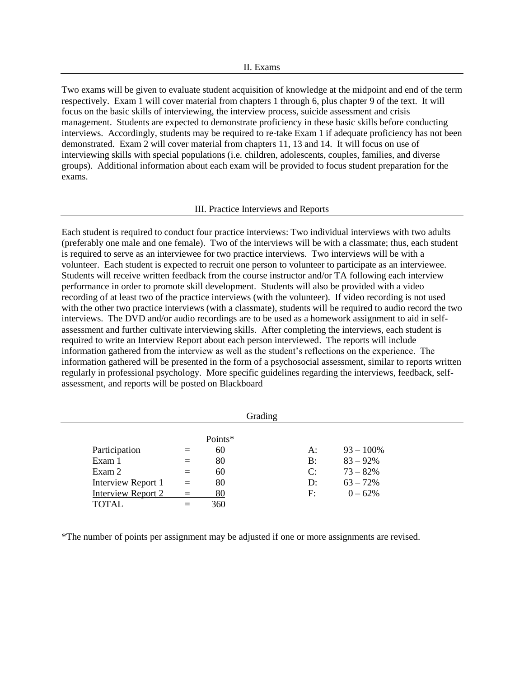Two exams will be given to evaluate student acquisition of knowledge at the midpoint and end of the term respectively. Exam 1 will cover material from chapters 1 through 6, plus chapter 9 of the text. It will focus on the basic skills of interviewing, the interview process, suicide assessment and crisis management. Students are expected to demonstrate proficiency in these basic skills before conducting interviews. Accordingly, students may be required to re-take Exam 1 if adequate proficiency has not been demonstrated. Exam 2 will cover material from chapters 11, 13 and 14. It will focus on use of interviewing skills with special populations (i.e. children, adolescents, couples, families, and diverse groups). Additional information about each exam will be provided to focus student preparation for the exams.

## III. Practice Interviews and Reports

Each student is required to conduct four practice interviews: Two individual interviews with two adults (preferably one male and one female). Two of the interviews will be with a classmate; thus, each student is required to serve as an interviewee for two practice interviews. Two interviews will be with a volunteer. Each student is expected to recruit one person to volunteer to participate as an interviewee. Students will receive written feedback from the course instructor and/or TA following each interview performance in order to promote skill development. Students will also be provided with a video recording of at least two of the practice interviews (with the volunteer). If video recording is not used with the other two practice interviews (with a classmate), students will be required to audio record the two interviews. The DVD and/or audio recordings are to be used as a homework assignment to aid in selfassessment and further cultivate interviewing skills. After completing the interviews, each student is required to write an Interview Report about each person interviewed. The reports will include information gathered from the interview as well as the student's reflections on the experience. The information gathered will be presented in the form of a psychosocial assessment, similar to reports written regularly in professional psychology. More specific guidelines regarding the interviews, feedback, selfassessment, and reports will be posted on Blackboard

|                           |          |         | Grading |    |              |
|---------------------------|----------|---------|---------|----|--------------|
|                           |          | Points* |         |    |              |
| Participation             |          | 60      |         | A: | $93 - 100\%$ |
| Exam 1                    |          | 80      |         | B: | $83 - 92%$   |
| Exam 2                    | $=$      | 60      |         | C: | $73 - 82%$   |
| Interview Report 1        | $=$      | 80      |         | D: | $63 - 72%$   |
| <b>Interview Report 2</b> | $\equiv$ | 80      |         | F: | $0 - 62%$    |
| <b>TOTAL</b>              |          | 360     |         |    |              |

\*The number of points per assignment may be adjusted if one or more assignments are revised.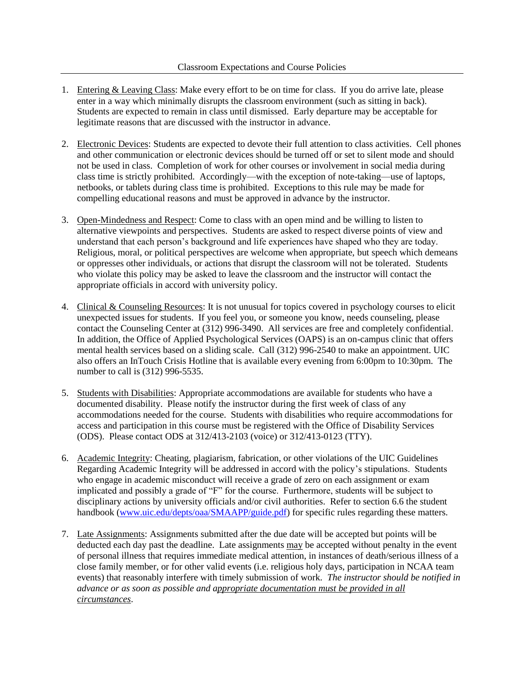- 1. Entering & Leaving Class: Make every effort to be on time for class. If you do arrive late, please enter in a way which minimally disrupts the classroom environment (such as sitting in back). Students are expected to remain in class until dismissed. Early departure may be acceptable for legitimate reasons that are discussed with the instructor in advance.
- 2. Electronic Devices: Students are expected to devote their full attention to class activities. Cell phones and other communication or electronic devices should be turned off or set to silent mode and should not be used in class. Completion of work for other courses or involvement in social media during class time is strictly prohibited. Accordingly—with the exception of note-taking—use of laptops, netbooks, or tablets during class time is prohibited. Exceptions to this rule may be made for compelling educational reasons and must be approved in advance by the instructor.
- 3. Open-Mindedness and Respect: Come to class with an open mind and be willing to listen to alternative viewpoints and perspectives. Students are asked to respect diverse points of view and understand that each person's background and life experiences have shaped who they are today. Religious, moral, or political perspectives are welcome when appropriate, but speech which demeans or oppresses other individuals, or actions that disrupt the classroom will not be tolerated. Students who violate this policy may be asked to leave the classroom and the instructor will contact the appropriate officials in accord with university policy.
- 4. Clinical & Counseling Resources: It is not unusual for topics covered in psychology courses to elicit unexpected issues for students. If you feel you, or someone you know, needs counseling, please contact the Counseling Center at (312) 996-3490. All services are free and completely confidential. In addition, the Office of Applied Psychological Services (OAPS) is an on-campus clinic that offers mental health services based on a sliding scale. Call (312) 996-2540 to make an appointment. UIC also offers an InTouch Crisis Hotline that is available every evening from 6:00pm to 10:30pm. The number to call is (312) 996-5535.
- 5. Students with Disabilities: Appropriate accommodations are available for students who have a documented disability. Please notify the instructor during the first week of class of any accommodations needed for the course. Students with disabilities who require accommodations for access and participation in this course must be registered with the Office of Disability Services (ODS). Please contact ODS at 312/413-2103 (voice) or 312/413-0123 (TTY).
- 6. Academic Integrity: Cheating, plagiarism, fabrication, or other violations of the UIC Guidelines Regarding Academic Integrity will be addressed in accord with the policy's stipulations. Students who engage in academic misconduct will receive a grade of zero on each assignment or exam implicated and possibly a grade of "F" for the course. Furthermore, students will be subject to disciplinary actions by university officials and/or civil authorities. Refer to section 6.6 the student handbook [\(www.uic.edu/depts/oaa/SMAAPP/guide.pdf\)](http://www.uic.edu/depts/oaa/SMAAPP/guide.pdf) for specific rules regarding these matters.
- 7. Late Assignments: Assignments submitted after the due date will be accepted but points will be deducted each day past the deadline. Late assignments may be accepted without penalty in the event of personal illness that requires immediate medical attention, in instances of death/serious illness of a close family member, or for other valid events (i.e. religious holy days, participation in NCAA team events) that reasonably interfere with timely submission of work. *The instructor should be notified in advance or as soon as possible and appropriate documentation must be provided in all circumstances*.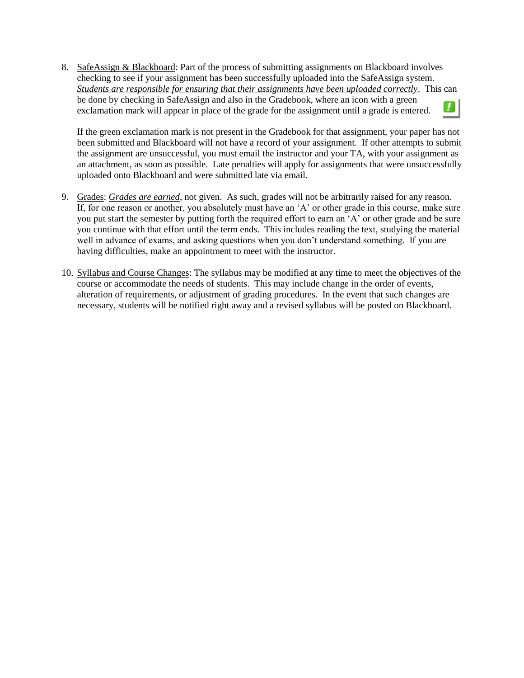8. SafeAssign & Blackboard: Part of the process of submitting assignments on Blackboard involves checking to see if your assignment has been successfully uploaded into the SafeAssign system. *Students are responsible for ensuring that their assignments have been uploaded correctly*. This can be done by checking in SafeAssign and also in the Gradebook, where an icon with a green exclamation mark will appear in place of the grade for the assignment until a grade is entered.

If the green exclamation mark is not present in the Gradebook for that assignment, your paper has not been submitted and Blackboard will not have a record of your assignment. If other attempts to submit the assignment are unsuccessful, you must email the instructor and your TA, with your assignment as an attachment, as soon as possible. Late penalties will apply for assignments that were unsuccessfully uploaded onto Blackboard and were submitted late via email.

- 9. Grades: *Grades are earned*, not given. As such, grades will not be arbitrarily raised for any reason. If, for one reason or another, you absolutely must have an 'A' or other grade in this course, make sure you put start the semester by putting forth the required effort to earn an 'A' or other grade and be sure you continue with that effort until the term ends. This includes reading the text, studying the material well in advance of exams, and asking questions when you don't understand something. If you are having difficulties, make an appointment to meet with the instructor.
- 10. Syllabus and Course Changes: The syllabus may be modified at any time to meet the objectives of the course or accommodate the needs of students. This may include change in the order of events, alteration of requirements, or adjustment of grading procedures. In the event that such changes are necessary, students will be notified right away and a revised syllabus will be posted on Blackboard.